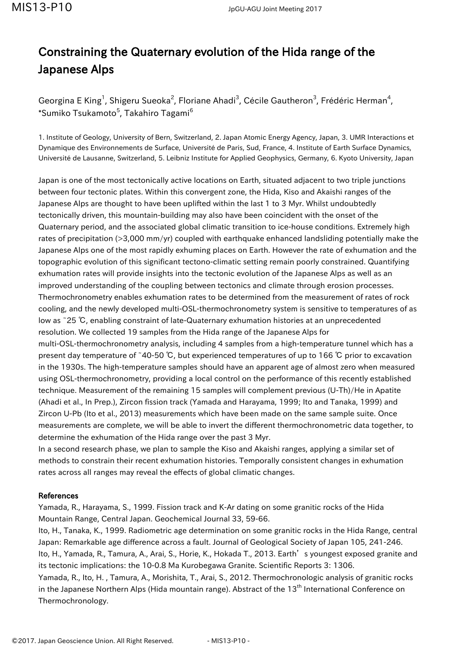## Constraining the Quaternary evolution of the Hida range of the Japanese Alps

Georgina E King<sup>1</sup>, Shigeru Sueoka<sup>2</sup>, Floriane Ahadi<sup>3</sup>, Cécile Gautheron<sup>3</sup>, Frédéric Herman<sup>4</sup>,  $^*$ Sumiko Tsukamoto $^5$ , Takahiro Tagami $^6$ 

1. Institute of Geology, University of Bern, Switzerland, 2. Japan Atomic Energy Agency, Japan, 3. UMR Interactions et Dynamique des Environnements de Surface, Université de Paris, Sud, France, 4. Institute of Earth Surface Dynamics, Université de Lausanne, Switzerland, 5. Leibniz Institute for Applied Geophysics, Germany, 6. Kyoto University, Japan

Japan is one of the most tectonically active locations on Earth, situated adjacent to two triple junctions between four tectonic plates. Within this convergent zone, the Hida, Kiso and Akaishi ranges of the Japanese Alps are thought to have been uplifted within the last 1 to 3 Myr. Whilst undoubtedly tectonically driven, this mountain-building may also have been coincident with the onset of the Quaternary period, and the associated global climatic transition to ice-house conditions. Extremely high rates of precipitation (>3,000 mm/yr) coupled with earthquake enhanced landsliding potentially make the Japanese Alps one of the most rapidly exhuming places on Earth. However the rate of exhumation and the topographic evolution of this significant tectono-climatic setting remain poorly constrained. Quantifying exhumation rates will provide insights into the tectonic evolution of the Japanese Alps as well as an improved understanding of the coupling between tectonics and climate through erosion processes. Thermochronometry enables exhumation rates to be determined from the measurement of rates of rock cooling, and the newly developed multi-OSL-thermochronometry system is sensitive to temperatures of as low as ~25 ℃, enabling constraint of late-Quaternary exhumation histories at an unprecedented resolution. We collected 19 samples from the Hida range of the Japanese Alps for multi-OSL-thermochronometry analysis, including 4 samples from a high-temperature tunnel which has a present day temperature of ~40-50 ℃, but experienced temperatures of up to 166 ℃ prior to excavation in the 1930s. The high-temperature samples should have an apparent age of almost zero when measured using OSL-thermochronometry, providing a local control on the performance of this recently established technique. Measurement of the remaining 15 samples will complement previous (U-Th)/He in Apatite (Ahadi et al., In Prep.), Zircon fission track (Yamada and Harayama, 1999; Ito and Tanaka, 1999) and Zircon U-Pb (Ito et al., 2013) measurements which have been made on the same sample suite. Once measurements are complete, we will be able to invert the different thermochronometric data together, to determine the exhumation of the Hida range over the past 3 Myr.

In a second research phase, we plan to sample the Kiso and Akaishi ranges, applying a similar set of methods to constrain their recent exhumation histories. Temporally consistent changes in exhumation rates across all ranges may reveal the effects of global climatic changes.

## References

Yamada, R., Harayama, S., 1999. Fission track and K-Ar dating on some granitic rocks of the Hida Mountain Range, Central Japan. Geochemical Journal 33, 59-66.

Ito, H., Tanaka, K., 1999. Radiometric age determination on some granitic rocks in the Hida Range, central Japan: Remarkable age difference across a fault. Journal of Geological Society of Japan 105, 241-246. Ito, H., Yamada, R., Tamura, A., Arai, S., Horie, K., Hokada T., 2013. Earth's youngest exposed granite and its tectonic implications: the 10-0.8 Ma Kurobegawa Granite. Scientific Reports 3: 1306. Yamada, R., Ito, H. , Tamura, A., Morishita, T., Arai, S., 2012. Thermochronologic analysis of granitic rocks in the Japanese Northern Alps (Hida mountain range). Abstract of the 13<sup>th</sup> International Conference on Thermochronology.